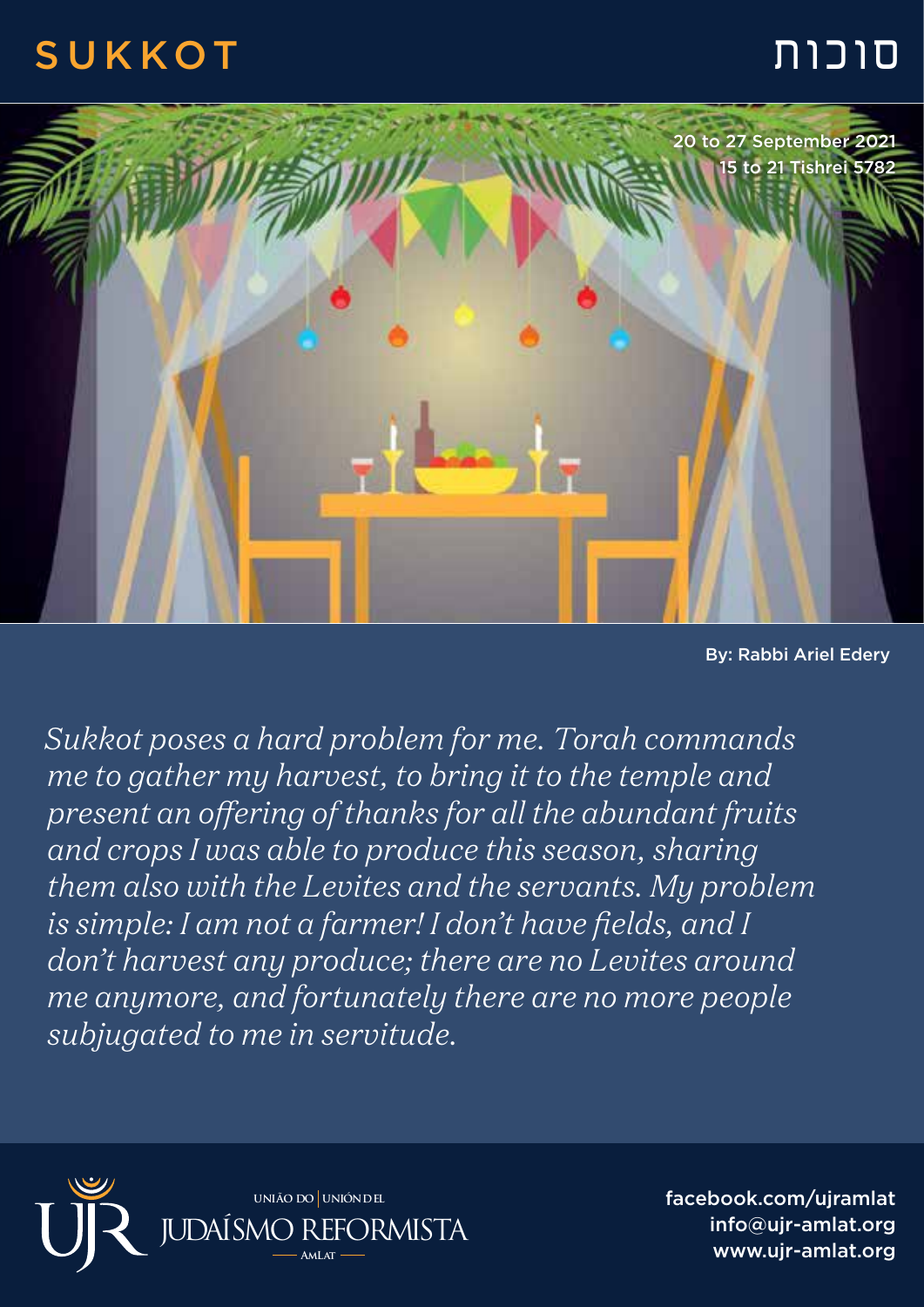## סוכות SUKKOT



By: Rabbi Ariel Edery

*Sukkot poses a hard problem for me. Torah commands me to gather my harvest, to bring it to the temple and present an offering of thanks for all the abundant fruits and crops I was able to produce this season, sharing them also with the Levites and the servants. My problem is simple: I am not a farmer! I don't have fields, and I don't harvest any produce; there are no Levites around me anymore, and fortunately there are no more people subjugated to me in servitude.*



facebook.com/ujramlat info@ujr-amlat.org www.ujr-amlat.org JUDAÍSMO REFORMISTA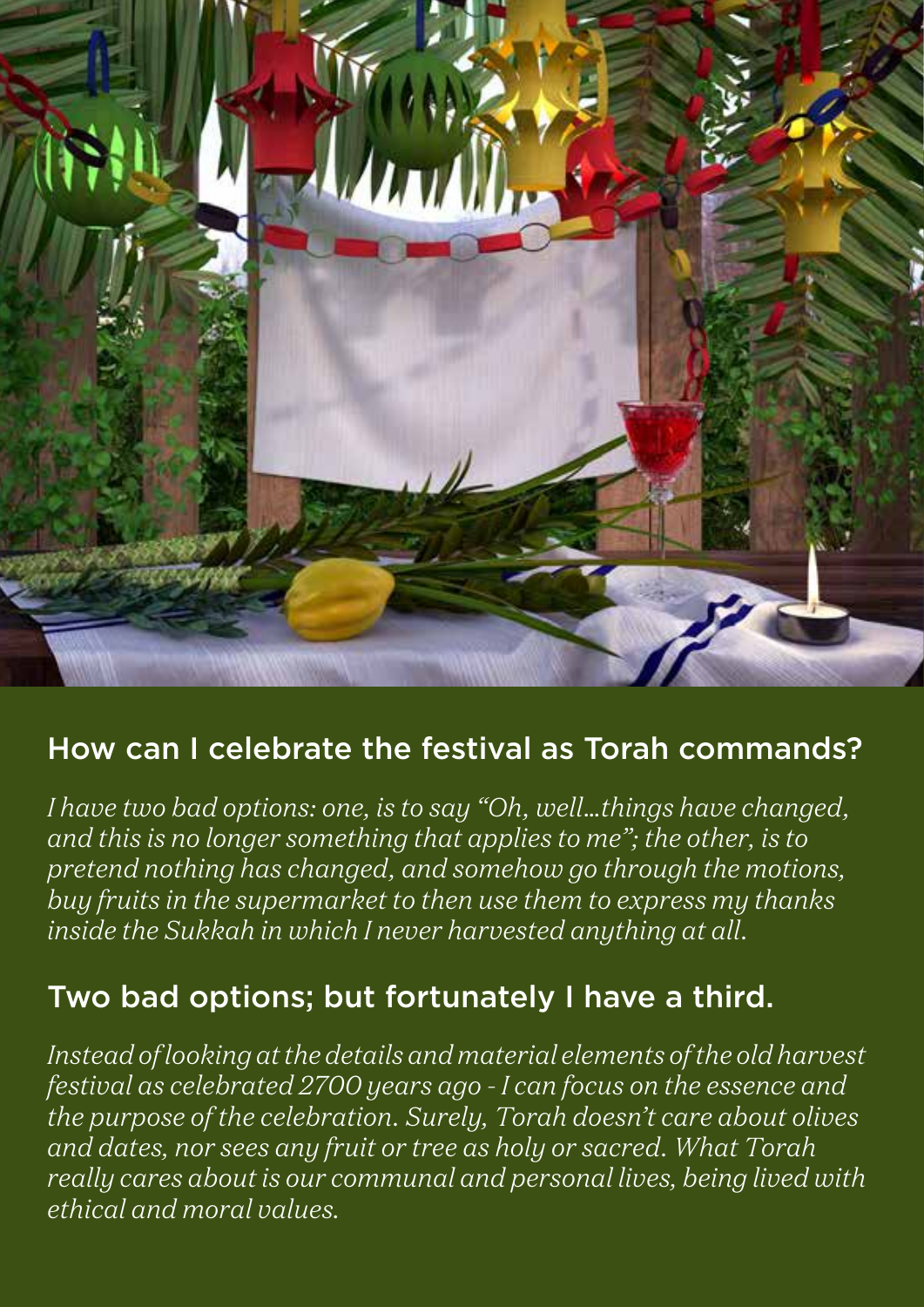

## How can I celebrate the festival as Torah commands?

*I have two bad options: one, is to say "Oh, well…things have changed, and this is no longer something that applies to me"; the other, is to pretend nothing has changed, and somehow go through the motions, buy fruits in the supermarket to then use them to express my thanks inside the Sukkah in which I never harvested anything at all.* 

## Two bad options; but fortunately I have a third.

*Instead of looking at the details and material elements of the old harvest festival as celebrated 2700 years ago - I can focus on the essence and the purpose of the celebration. Surely, Torah doesn't care about olives and dates, nor sees any fruit or tree as holy or sacred. What Torah really cares about is our communal and personal lives, being lived with ethical and moral values.*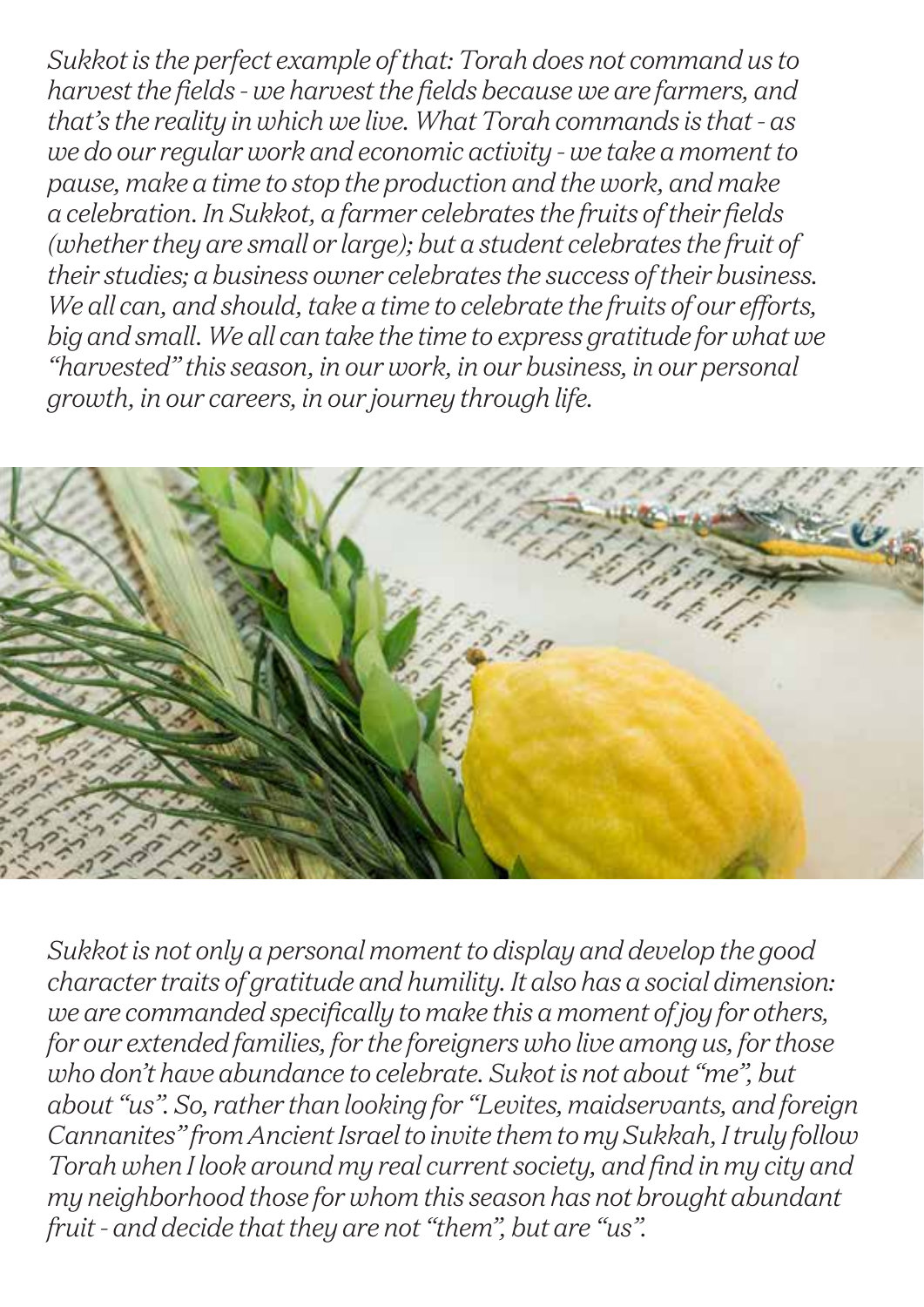*Sukkot is the perfect example of that: Torah does not command us to harvest the fields - we harvest the fields because we are farmers, and that's the reality in which we live. What Torah commands is that - as we do our regular work and economic activity - we take a moment to pause, make a time to stop the production and the work, and make a celebration. In Sukkot, a farmer celebrates the fruits of their fields (whether they are small or large); but a student celebrates the fruit of their studies; a business owner celebrates the success of their business. We all can, and should, take a time to celebrate the fruits of our efforts, big and small. We all can take the time to express gratitude for what we "harvested" this season, in our work, in our business, in our personal growth, in our careers, in our journey through life.*



*Sukkot is not only a personal moment to display and develop the good character traits of gratitude and humility. It also has a social dimension: we are commanded specifically to make this a moment of joy for others, for our extended families, for the foreigners who live among us, for those who don't have abundance to celebrate. Sukot is not about "me", but about "us". So, rather than looking for "Levites, maidservants, and foreign Cannanites" from Ancient Israel to invite them to my Sukkah, I truly follow Torah when I look around my real current society, and find in my city and my neighborhood those for whom this season has not brought abundant fruit - and decide that they are not "them", but are "us".*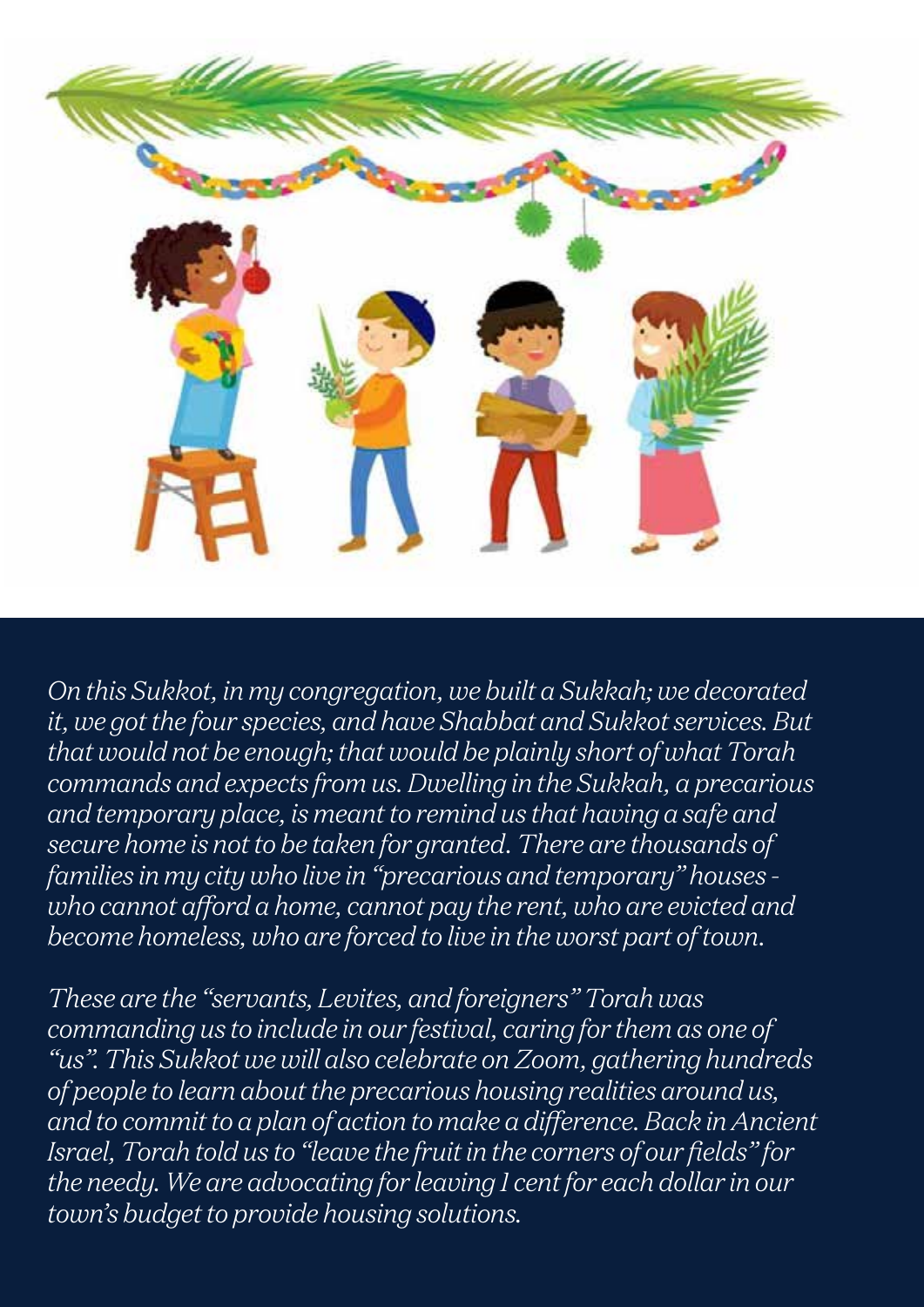

*On this Sukkot, in my congregation, we built a Sukkah; we decorated it, we got the four species, and have Shabbat and Sukkot services. But that would not be enough; that would be plainly short of what Torah commands and expects from us. Dwelling in the Sukkah, a precarious and temporary place, is meant to remind us that having a safe and secure home is not to be taken for granted. There are thousands of families in my city who live in "precarious and temporary" houses who cannot afford a home, cannot pay the rent, who are evicted and become homeless, who are forced to live in the worst part of town.* 

*These are the "servants, Levites, and foreigners" Torah was commanding us to include in our festival, caring for them as one of "us". This Sukkot we will also celebrate on Zoom, gathering hundreds of people to learn about the precarious housing realities around us, and to commit to a plan of action to make a difference. Back in Ancient Israel, Torah told us to "leave the fruit in the corners of our fields" for the needy. We are advocating for leaving 1 cent for each dollar in our town's budget to provide housing solutions.*